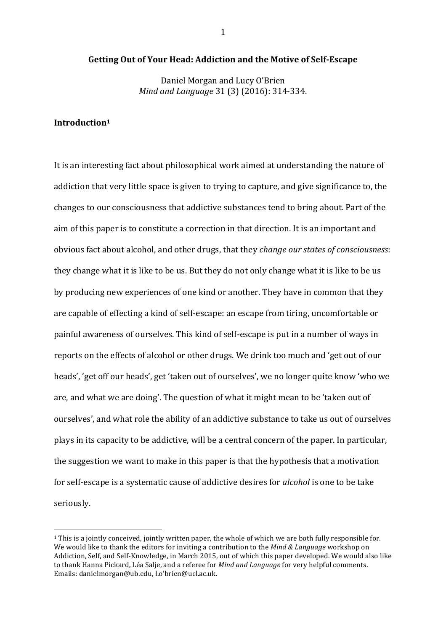#### **Getting Out of Your Head: Addiction and the Motive of Self-Escape**

Daniel Morgan and Lucy O'Brien *Mind and Language* 31 (3) (2016): 314-334.

# **Introduction1**

It is an interesting fact about philosophical work aimed at understanding the nature of addiction that very little space is given to trying to capture, and give significance to, the changes to our consciousness that addictive substances tend to bring about. Part of the aim of this paper is to constitute a correction in that direction. It is an important and obvious fact about alcohol, and other drugs, that they *change our states of consciousness*: they change what it is like to be us. But they do not only change what it is like to be us by producing new experiences of one kind or another. They have in common that they are capable of effecting a kind of self-escape: an escape from tiring, uncomfortable or painful awareness of ourselves. This kind of self-escape is put in a number of ways in reports on the effects of alcohol or other drugs. We drink too much and 'get out of our heads', 'get off our heads', get 'taken out of ourselves', we no longer quite know 'who we are, and what we are doing'. The question of what it might mean to be 'taken out of ourselves', and what role the ability of an addictive substance to take us out of ourselves plays in its capacity to be addictive, will be a central concern of the paper. In particular, the suggestion we want to make in this paper is that the hypothesis that a motivation for self-escape is a systematic cause of addictive desires for *alcohol* is one to be take seriously.

 <sup>1</sup> This is a jointly conceived, jointly written paper, the whole of which we are both fully responsible for. We would like to thank the editors for inviting a contribution to the *Mind & Language* workshop on Addiction, Self, and Self-Knowledge, in March 2015, out of which this paper developed. We would also like to thank Hanna Pickard, Léa Salje, and a referee for *Mind and Language* for very helpful comments. Emails: danielmorgan@ub.edu, l.o'brien@ucl.ac.uk.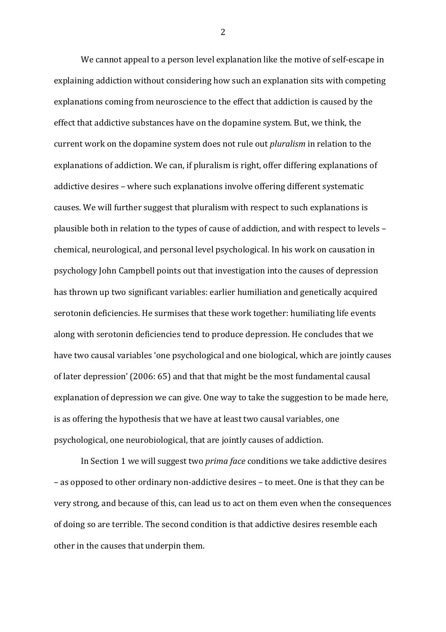We cannot appeal to a person level explanation like the motive of self-escape in explaining addiction without considering how such an explanation sits with competing explanations coming from neuroscience to the effect that addiction is caused by the effect that addictive substances have on the dopamine system. But, we think, the current work on the dopamine system does not rule out *pluralism* in relation to the explanations of addiction. We can, if pluralism is right, offer differing explanations of addictive desires – where such explanations involve offering different systematic causes. We will further suggest that pluralism with respect to such explanations is plausible both in relation to the types of cause of addiction, and with respect to levels – chemical, neurological, and personal level psychological. In his work on causation in psychology John Campbell points out that investigation into the causes of depression has thrown up two significant variables: earlier humiliation and genetically acquired serotonin deficiencies. He surmises that these work together: humiliating life events along with serotonin deficiencies tend to produce depression. He concludes that we have two causal variables 'one psychological and one biological, which are jointly causes of later depression' (2006: 65) and that that might be the most fundamental causal explanation of depression we can give. One way to take the suggestion to be made here, is as offering the hypothesis that we have at least two causal variables, one psychological, one neurobiological, that are jointly causes of addiction.

In Section 1 we will suggest two *prima face* conditions we take addictive desires – as opposed to other ordinary non-addictive desires – to meet. One is that they can be very strong, and because of this, can lead us to act on them even when the consequences of doing so are terrible. The second condition is that addictive desires resemble each other in the causes that underpin them.

 $\overline{2}$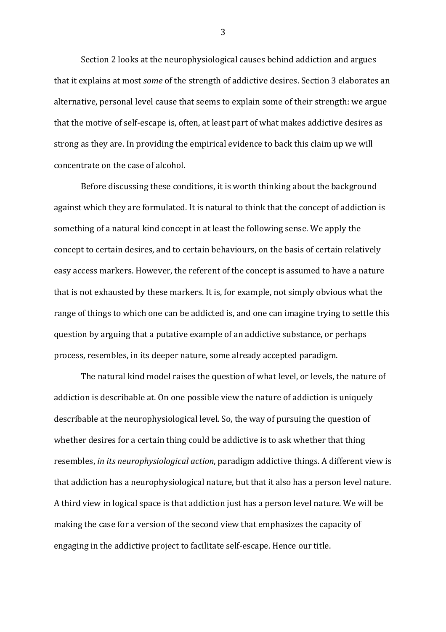Section 2 looks at the neurophysiological causes behind addiction and argues that it explains at most *some* of the strength of addictive desires. Section 3 elaborates an alternative, personal level cause that seems to explain some of their strength: we argue that the motive of self-escape is, often, at least part of what makes addictive desires as strong as they are. In providing the empirical evidence to back this claim up we will concentrate on the case of alcohol.

Before discussing these conditions, it is worth thinking about the background against which they are formulated. It is natural to think that the concept of addiction is something of a natural kind concept in at least the following sense. We apply the concept to certain desires, and to certain behaviours, on the basis of certain relatively easy access markers. However, the referent of the concept is assumed to have a nature that is not exhausted by these markers. It is, for example, not simply obvious what the range of things to which one can be addicted is, and one can imagine trying to settle this question by arguing that a putative example of an addictive substance, or perhaps process, resembles, in its deeper nature, some already accepted paradigm.

The natural kind model raises the question of what level, or levels, the nature of addiction is describable at. On one possible view the nature of addiction is uniquely describable at the neurophysiological level. So, the way of pursuing the question of whether desires for a certain thing could be addictive is to ask whether that thing resembles, *in its neurophysiological action*, paradigm addictive things. A different view is that addiction has a neurophysiological nature, but that it also has a person level nature. A third view in logical space is that addiction just has a person level nature. We will be making the case for a version of the second view that emphasizes the capacity of engaging in the addictive project to facilitate self-escape. Hence our title.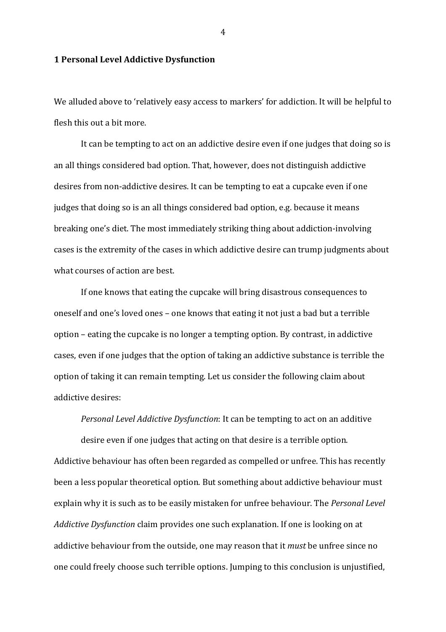#### **1 Personal Level Addictive Dysfunction**

We alluded above to 'relatively easy access to markers' for addiction. It will be helpful to flesh this out a bit more.

It can be tempting to act on an addictive desire even if one judges that doing so is an all things considered bad option. That, however, does not distinguish addictive desires from non-addictive desires. It can be tempting to eat a cupcake even if one judges that doing so is an all things considered bad option, e.g. because it means breaking one's diet. The most immediately striking thing about addiction-involving cases is the extremity of the cases in which addictive desire can trump judgments about what courses of action are best.

If one knows that eating the cupcake will bring disastrous consequences to oneself and one's loved ones – one knows that eating it not just a bad but a terrible option – eating the cupcake is no longer a tempting option. By contrast, in addictive cases, even if one judges that the option of taking an addictive substance is terrible the option of taking it can remain tempting. Let us consider the following claim about addictive desires:

*Personal Level Addictive Dysfunction*: It can be tempting to act on an additive desire even if one judges that acting on that desire is a terrible option. Addictive behaviour has often been regarded as compelled or unfree. This has recently been a less popular theoretical option. But something about addictive behaviour must explain why it is such as to be easily mistaken for unfree behaviour. The *Personal Level Addictive Dysfunction* claim provides one such explanation. If one is looking on at addictive behaviour from the outside, one may reason that it *must* be unfree since no one could freely choose such terrible options. Jumping to this conclusion is unjustified,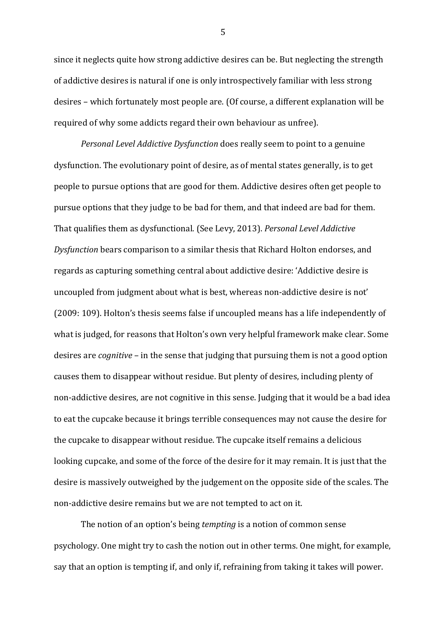since it neglects quite how strong addictive desires can be. But neglecting the strength of addictive desires is natural if one is only introspectively familiar with less strong desires – which fortunately most people are. (Of course, a different explanation will be required of why some addicts regard their own behaviour as unfree).

*Personal Level Addictive Dysfunction* does really seem to point to a genuine dysfunction. The evolutionary point of desire, as of mental states generally, is to get people to pursue options that are good for them. Addictive desires often get people to pursue options that they judge to be bad for them, and that indeed are bad for them. That qualifies them as dysfunctional. (See Levy, 2013). *Personal Level Addictive Dysfunction* bears comparison to a similar thesis that Richard Holton endorses, and regards as capturing something central about addictive desire: 'Addictive desire is uncoupled from judgment about what is best, whereas non-addictive desire is not' (2009: 109). Holton's thesis seems false if uncoupled means has a life independently of what is judged, for reasons that Holton's own very helpful framework make clear. Some desires are *cognitive* – in the sense that judging that pursuing them is not a good option causes them to disappear without residue. But plenty of desires, including plenty of non-addictive desires, are not cognitive in this sense. Judging that it would be a bad idea to eat the cupcake because it brings terrible consequences may not cause the desire for the cupcake to disappear without residue. The cupcake itself remains a delicious looking cupcake, and some of the force of the desire for it may remain. It is just that the desire is massively outweighed by the judgement on the opposite side of the scales. The non-addictive desire remains but we are not tempted to act on it.

The notion of an option's being *tempting* is a notion of common sense psychology. One might try to cash the notion out in other terms. One might, for example, say that an option is tempting if, and only if, refraining from taking it takes will power.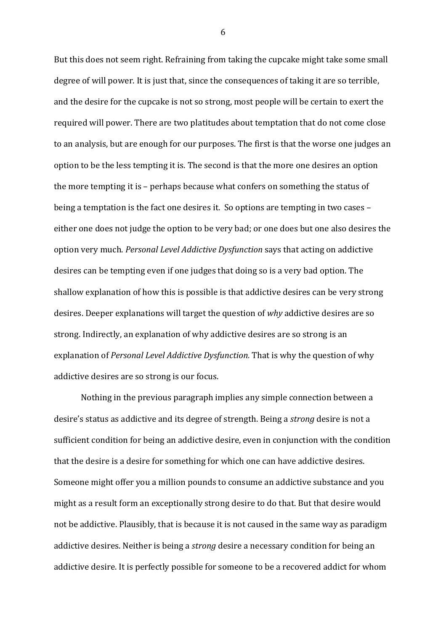But this does not seem right. Refraining from taking the cupcake might take some small degree of will power. It is just that, since the consequences of taking it are so terrible, and the desire for the cupcake is not so strong, most people will be certain to exert the required will power. There are two platitudes about temptation that do not come close to an analysis, but are enough for our purposes. The first is that the worse one judges an option to be the less tempting it is. The second is that the more one desires an option the more tempting it is – perhaps because what confers on something the status of being a temptation is the fact one desires it. So options are tempting in two cases – either one does not judge the option to be very bad; or one does but one also desires the option very much. *Personal Level Addictive Dysfunction* says that acting on addictive desires can be tempting even if one judges that doing so is a very bad option. The shallow explanation of how this is possible is that addictive desires can be very strong desires. Deeper explanations will target the question of *why* addictive desires are so strong. Indirectly, an explanation of why addictive desires are so strong is an explanation of *Personal Level Addictive Dysfunction.* That is why the question of why addictive desires are so strong is our focus.

Nothing in the previous paragraph implies any simple connection between a desire's status as addictive and its degree of strength. Being a *strong* desire is not a sufficient condition for being an addictive desire, even in conjunction with the condition that the desire is a desire for something for which one can have addictive desires. Someone might offer you a million pounds to consume an addictive substance and you might as a result form an exceptionally strong desire to do that. But that desire would not be addictive. Plausibly, that is because it is not caused in the same way as paradigm addictive desires. Neither is being a *strong* desire a necessary condition for being an addictive desire. It is perfectly possible for someone to be a recovered addict for whom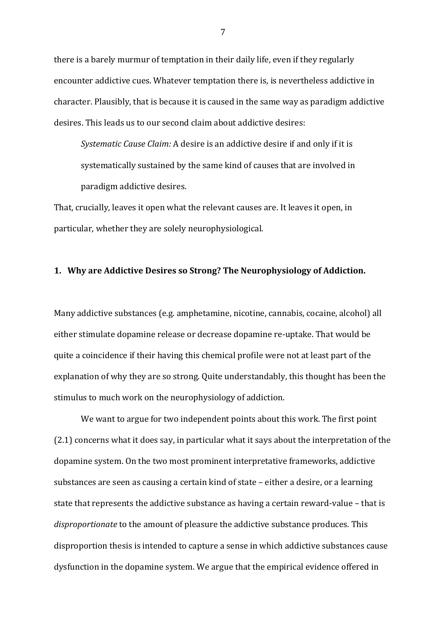there is a barely murmur of temptation in their daily life, even if they regularly encounter addictive cues. Whatever temptation there is, is nevertheless addictive in character. Plausibly, that is because it is caused in the same way as paradigm addictive desires. This leads us to our second claim about addictive desires:

*Systematic Cause Claim:* A desire is an addictive desire if and only if it is systematically sustained by the same kind of causes that are involved in paradigm addictive desires.

That, crucially, leaves it open what the relevant causes are. It leaves it open, in particular, whether they are solely neurophysiological.

#### **1. Why are Addictive Desires so Strong? The Neurophysiology of Addiction.**

Many addictive substances (e.g. amphetamine, nicotine, cannabis, cocaine, alcohol) all either stimulate dopamine release or decrease dopamine re-uptake. That would be quite a coincidence if their having this chemical profile were not at least part of the explanation of why they are so strong. Quite understandably, this thought has been the stimulus to much work on the neurophysiology of addiction.

We want to argue for two independent points about this work. The first point (2.1) concerns what it does say, in particular what it says about the interpretation of the dopamine system. On the two most prominent interpretative frameworks, addictive substances are seen as causing a certain kind of state – either a desire, or a learning state that represents the addictive substance as having a certain reward-value – that is *disproportionate* to the amount of pleasure the addictive substance produces. This disproportion thesis is intended to capture a sense in which addictive substances cause dysfunction in the dopamine system. We argue that the empirical evidence offered in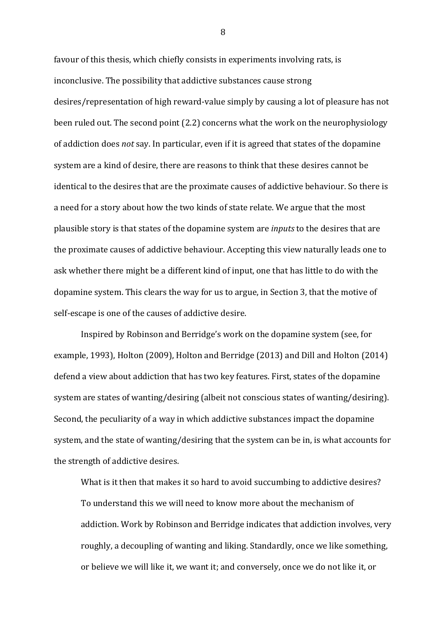favour of this thesis, which chiefly consists in experiments involving rats, is inconclusive. The possibility that addictive substances cause strong desires/representation of high reward-value simply by causing a lot of pleasure has not been ruled out. The second point (2.2) concerns what the work on the neurophysiology of addiction does *not* say. In particular, even if it is agreed that states of the dopamine system are a kind of desire, there are reasons to think that these desires cannot be identical to the desires that are the proximate causes of addictive behaviour. So there is a need for a story about how the two kinds of state relate. We argue that the most plausible story is that states of the dopamine system are *inputs* to the desires that are the proximate causes of addictive behaviour. Accepting this view naturally leads one to ask whether there might be a different kind of input, one that has little to do with the dopamine system. This clears the way for us to argue, in Section 3, that the motive of self-escape is one of the causes of addictive desire.

Inspired by Robinson and Berridge's work on the dopamine system (see, for example, 1993), Holton (2009), Holton and Berridge (2013) and Dill and Holton (2014) defend a view about addiction that has two key features. First, states of the dopamine system are states of wanting/desiring (albeit not conscious states of wanting/desiring). Second, the peculiarity of a way in which addictive substances impact the dopamine system, and the state of wanting/desiring that the system can be in, is what accounts for the strength of addictive desires.

What is it then that makes it so hard to avoid succumbing to addictive desires? To understand this we will need to know more about the mechanism of addiction. Work by Robinson and Berridge indicates that addiction involves, very roughly, a decoupling of wanting and liking. Standardly, once we like something, or believe we will like it, we want it; and conversely, once we do not like it, or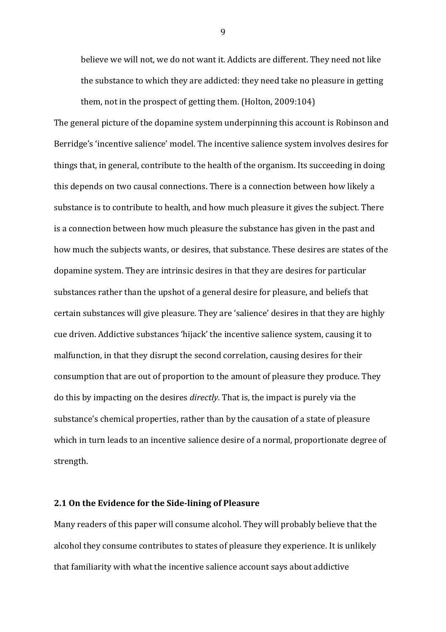believe we will not, we do not want it. Addicts are different. They need not like the substance to which they are addicted: they need take no pleasure in getting them, not in the prospect of getting them. (Holton, 2009:104)

The general picture of the dopamine system underpinning this account is Robinson and Berridge's 'incentive salience' model. The incentive salience system involves desires for things that, in general, contribute to the health of the organism. Its succeeding in doing this depends on two causal connections. There is a connection between how likely a substance is to contribute to health, and how much pleasure it gives the subject. There is a connection between how much pleasure the substance has given in the past and how much the subjects wants, or desires, that substance. These desires are states of the dopamine system. They are intrinsic desires in that they are desires for particular substances rather than the upshot of a general desire for pleasure, and beliefs that certain substances will give pleasure. They are 'salience' desires in that they are highly cue driven. Addictive substances 'hijack' the incentive salience system, causing it to malfunction, in that they disrupt the second correlation, causing desires for their consumption that are out of proportion to the amount of pleasure they produce. They do this by impacting on the desires *directly*. That is, the impact is purely via the substance's chemical properties, rather than by the causation of a state of pleasure which in turn leads to an incentive salience desire of a normal, proportionate degree of strength.

### **2.1 On the Evidence for the Side-lining of Pleasure**

Many readers of this paper will consume alcohol. They will probably believe that the alcohol they consume contributes to states of pleasure they experience. It is unlikely that familiarity with what the incentive salience account says about addictive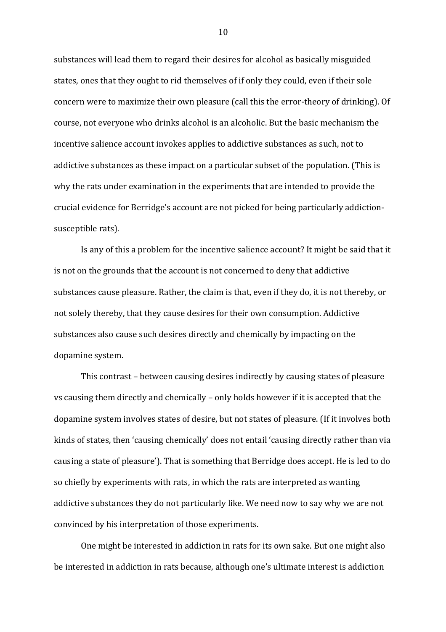substances will lead them to regard their desires for alcohol as basically misguided states, ones that they ought to rid themselves of if only they could, even if their sole concern were to maximize their own pleasure (call this the error-theory of drinking). Of course, not everyone who drinks alcohol is an alcoholic. But the basic mechanism the incentive salience account invokes applies to addictive substances as such, not to addictive substances as these impact on a particular subset of the population. (This is why the rats under examination in the experiments that are intended to provide the crucial evidence for Berridge's account are not picked for being particularly addictionsusceptible rats).

Is any of this a problem for the incentive salience account? It might be said that it is not on the grounds that the account is not concerned to deny that addictive substances cause pleasure. Rather, the claim is that, even if they do, it is not thereby, or not solely thereby, that they cause desires for their own consumption. Addictive substances also cause such desires directly and chemically by impacting on the dopamine system.

This contrast – between causing desires indirectly by causing states of pleasure vs causing them directly and chemically – only holds however if it is accepted that the dopamine system involves states of desire, but not states of pleasure. (If it involves both kinds of states, then 'causing chemically' does not entail 'causing directly rather than via causing a state of pleasure'). That is something that Berridge does accept. He is led to do so chiefly by experiments with rats, in which the rats are interpreted as wanting addictive substances they do not particularly like. We need now to say why we are not convinced by his interpretation of those experiments.

One might be interested in addiction in rats for its own sake. But one might also be interested in addiction in rats because, although one's ultimate interest is addiction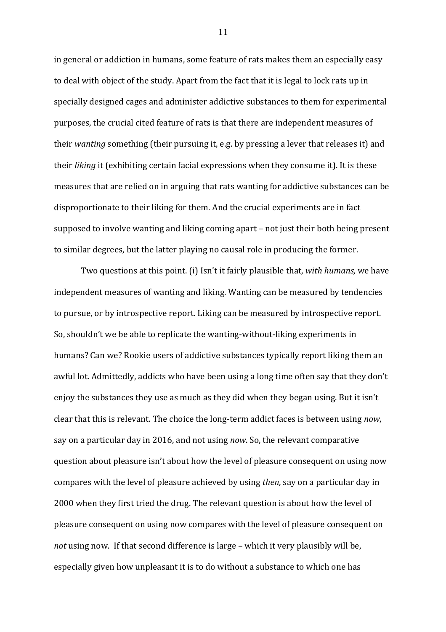in general or addiction in humans, some feature of rats makes them an especially easy to deal with object of the study. Apart from the fact that it is legal to lock rats up in specially designed cages and administer addictive substances to them for experimental purposes, the crucial cited feature of rats is that there are independent measures of their *wanting* something (their pursuing it, e.g. by pressing a lever that releases it) and their *liking* it (exhibiting certain facial expressions when they consume it). It is these measures that are relied on in arguing that rats wanting for addictive substances can be disproportionate to their liking for them. And the crucial experiments are in fact supposed to involve wanting and liking coming apart – not just their both being present to similar degrees, but the latter playing no causal role in producing the former.

Two questions at this point. (i) Isn't it fairly plausible that, *with humans,* we have independent measures of wanting and liking. Wanting can be measured by tendencies to pursue, or by introspective report. Liking can be measured by introspective report. So, shouldn't we be able to replicate the wanting-without-liking experiments in humans? Can we? Rookie users of addictive substances typically report liking them an awful lot. Admittedly, addicts who have been using a long time often say that they don't enjoy the substances they use as much as they did when they began using. But it isn't clear that this is relevant. The choice the long-term addict faces is between using *now*, say on a particular day in 2016, and not using *now*. So, the relevant comparative question about pleasure isn't about how the level of pleasure consequent on using now compares with the level of pleasure achieved by using *then*, say on a particular day in 2000 when they first tried the drug. The relevant question is about how the level of pleasure consequent on using now compares with the level of pleasure consequent on *not* using now. If that second difference is large – which it very plausibly will be, especially given how unpleasant it is to do without a substance to which one has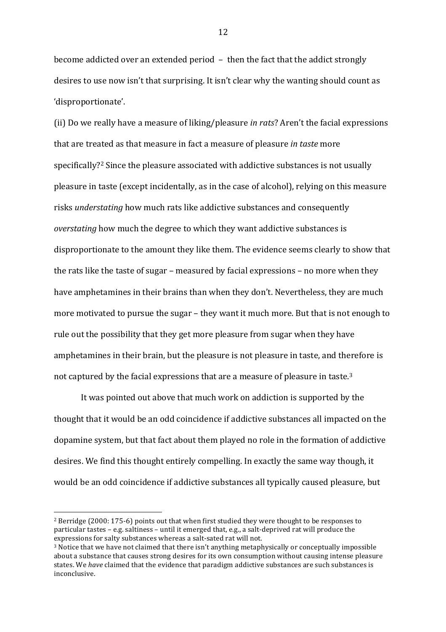become addicted over an extended period – then the fact that the addict strongly desires to use now isn't that surprising. It isn't clear why the wanting should count as 'disproportionate'.

(ii) Do we really have a measure of liking/pleasure *in rats*? Aren't the facial expressions that are treated as that measure in fact a measure of pleasure *in taste* more specifically?2 Since the pleasure associated with addictive substances is not usually pleasure in taste (except incidentally, as in the case of alcohol), relying on this measure risks *understating* how much rats like addictive substances and consequently *overstating* how much the degree to which they want addictive substances is disproportionate to the amount they like them. The evidence seems clearly to show that the rats like the taste of sugar – measured by facial expressions – no more when they have amphetamines in their brains than when they don't. Nevertheless, they are much more motivated to pursue the sugar – they want it much more. But that is not enough to rule out the possibility that they get more pleasure from sugar when they have amphetamines in their brain, but the pleasure is not pleasure in taste, and therefore is not captured by the facial expressions that are a measure of pleasure in taste. 3

It was pointed out above that much work on addiction is supported by the thought that it would be an odd coincidence if addictive substances all impacted on the dopamine system, but that fact about them played no role in the formation of addictive desires. We find this thought entirely compelling. In exactly the same way though, it would be an odd coincidence if addictive substances all typically caused pleasure, but

 <sup>2</sup> Berridge (2000: 175-6) points out that when first studied they were thought to be responses to particular tastes – e.g. saltiness – until it emerged that, e.g., a salt-deprived rat will produce the

 $3$  Notice that we have not claimed that there isn't anything metaphysically or conceptually impossible about a substance that causes strong desires for its own consumption without causing intense pleasure states. We *have* claimed that the evidence that paradigm addictive substances are such substances is inconclusive.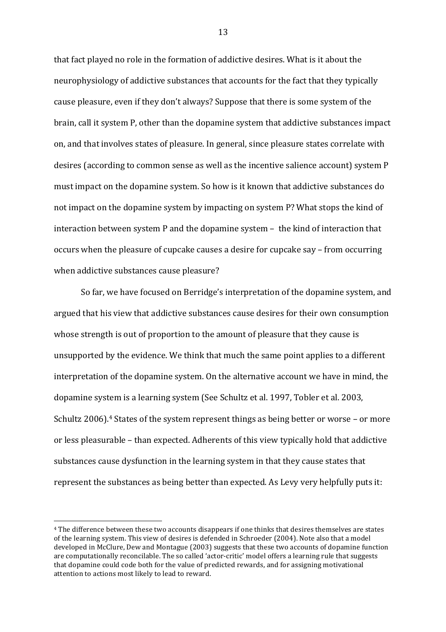that fact played no role in the formation of addictive desires. What is it about the neurophysiology of addictive substances that accounts for the fact that they typically cause pleasure, even if they don't always? Suppose that there is some system of the brain, call it system P, other than the dopamine system that addictive substances impact on, and that involves states of pleasure. In general, since pleasure states correlate with desires (according to common sense as well as the incentive salience account) system P must impact on the dopamine system. So how is it known that addictive substances do not impact on the dopamine system by impacting on system P? What stops the kind of interaction between system P and the dopamine system – the kind of interaction that occurs when the pleasure of cupcake causes a desire for cupcake say – from occurring when addictive substances cause pleasure?

So far, we have focused on Berridge's interpretation of the dopamine system, and argued that his view that addictive substances cause desires for their own consumption whose strength is out of proportion to the amount of pleasure that they cause is unsupported by the evidence. We think that much the same point applies to a different interpretation of the dopamine system. On the alternative account we have in mind, the dopamine system is a learning system (See Schultz et al. 1997, Tobler et al. 2003, Schultz 2006). <sup>4</sup> States of the system represent things as being better or worse – or more or less pleasurable – than expected. Adherents of this view typically hold that addictive substances cause dysfunction in the learning system in that they cause states that represent the substances as being better than expected. As Levy very helpfully puts it:

 <sup>4</sup> The difference between these two accounts disappears if one thinks that desires themselves are states of the learning system. This view of desires is defended in Schroeder (2004). Note also that a model developed in McClure, Dew and Montague (2003) suggests that these two accounts of dopamine function are computationally reconcilable. The so called 'actor-critic' model offers a learning rule that suggests that dopamine could code both for the value of predicted rewards, and for assigning motivational attention to actions most likely to lead to reward.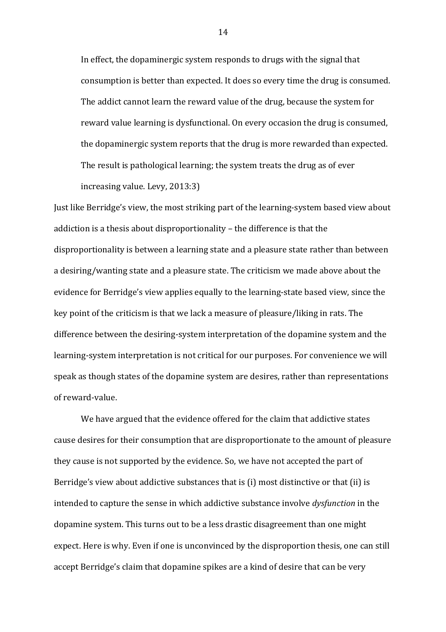In effect, the dopaminergic system responds to drugs with the signal that consumption is better than expected. It does so every time the drug is consumed. The addict cannot learn the reward value of the drug, because the system for reward value learning is dysfunctional. On every occasion the drug is consumed, the dopaminergic system reports that the drug is more rewarded than expected. The result is pathological learning; the system treats the drug as of ever increasing value. Levy, 2013:3)

Just like Berridge's view, the most striking part of the learning-system based view about addiction is a thesis about disproportionality – the difference is that the disproportionality is between a learning state and a pleasure state rather than between a desiring/wanting state and a pleasure state. The criticism we made above about the evidence for Berridge's view applies equally to the learning-state based view, since the key point of the criticism is that we lack a measure of pleasure/liking in rats. The difference between the desiring-system interpretation of the dopamine system and the learning-system interpretation is not critical for our purposes. For convenience we will speak as though states of the dopamine system are desires, rather than representations of reward-value.

We have argued that the evidence offered for the claim that addictive states cause desires for their consumption that are disproportionate to the amount of pleasure they cause is not supported by the evidence. So, we have not accepted the part of Berridge's view about addictive substances that is (i) most distinctive or that (ii) is intended to capture the sense in which addictive substance involve *dysfunction* in the dopamine system. This turns out to be a less drastic disagreement than one might expect. Here is why. Even if one is unconvinced by the disproportion thesis, one can still accept Berridge's claim that dopamine spikes are a kind of desire that can be very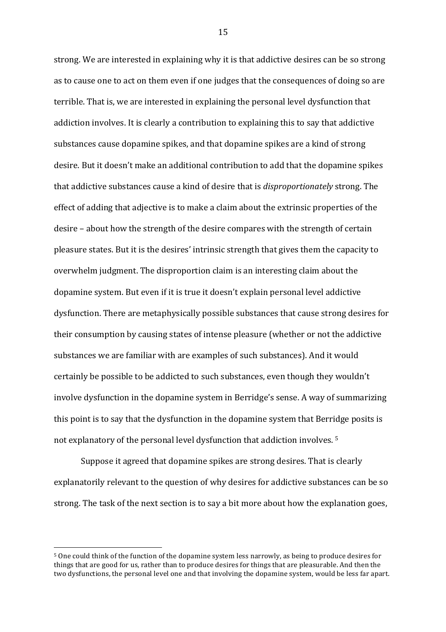strong. We are interested in explaining why it is that addictive desires can be so strong as to cause one to act on them even if one judges that the consequences of doing so are terrible. That is, we are interested in explaining the personal level dysfunction that addiction involves. It is clearly a contribution to explaining this to say that addictive substances cause dopamine spikes, and that dopamine spikes are a kind of strong desire. But it doesn't make an additional contribution to add that the dopamine spikes that addictive substances cause a kind of desire that is *disproportionately* strong. The effect of adding that adjective is to make a claim about the extrinsic properties of the desire – about how the strength of the desire compares with the strength of certain pleasure states. But it is the desires' intrinsic strength that gives them the capacity to overwhelm judgment. The disproportion claim is an interesting claim about the dopamine system. But even if it is true it doesn't explain personal level addictive dysfunction. There are metaphysically possible substances that cause strong desires for their consumption by causing states of intense pleasure (whether or not the addictive substances we are familiar with are examples of such substances). And it would certainly be possible to be addicted to such substances, even though they wouldn't involve dysfunction in the dopamine system in Berridge's sense. A way of summarizing this point is to say that the dysfunction in the dopamine system that Berridge posits is not explanatory of the personal level dysfunction that addiction involves. 5

Suppose it agreed that dopamine spikes are strong desires. That is clearly explanatorily relevant to the question of why desires for addictive substances can be so strong. The task of the next section is to say a bit more about how the explanation goes,

 <sup>5</sup> One could think of the function of the dopamine system less narrowly, as being to produce desires for things that are good for us, rather than to produce desires for things that are pleasurable. And then the two dysfunctions, the personal level one and that involving the dopamine system, would be less far apart.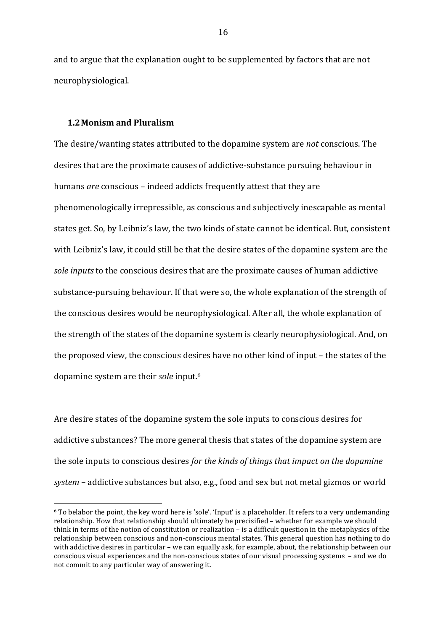and to argue that the explanation ought to be supplemented by factors that are not neurophysiological.

### **1.2Monism and Pluralism**

The desire/wanting states attributed to the dopamine system are *not* conscious. The desires that are the proximate causes of addictive-substance pursuing behaviour in humans *are* conscious – indeed addicts frequently attest that they are phenomenologically irrepressible, as conscious and subjectively inescapable as mental states get. So, by Leibniz's law, the two kinds of state cannot be identical. But, consistent with Leibniz's law, it could still be that the desire states of the dopamine system are the *sole inputs* to the conscious desires that are the proximate causes of human addictive substance-pursuing behaviour. If that were so, the whole explanation of the strength of the conscious desires would be neurophysiological. After all, the whole explanation of the strength of the states of the dopamine system is clearly neurophysiological. And, on the proposed view, the conscious desires have no other kind of input – the states of the dopamine system are their *sole* input. 6

Are desire states of the dopamine system the sole inputs to conscious desires for addictive substances? The more general thesis that states of the dopamine system are the sole inputs to conscious desires *for the kinds of things that impact on the dopamine system* – addictive substances but also, e.g., food and sex but not metal gizmos or world

 <sup>6</sup> To belabor the point, the key word here is 'sole'. 'Input' is a placeholder. It refers to a very undemanding relationship. How that relationship should ultimately be precisified – whether for example we should think in terms of the notion of constitution or realization – is a difficult question in the metaphysics of the relationship between conscious and non-conscious mental states. This general question has nothing to do with addictive desires in particular – we can equally ask, for example, about, the relationship between our conscious visual experiences and the non-conscious states of our visual processing systems – and we do not commit to any particular way of answering it.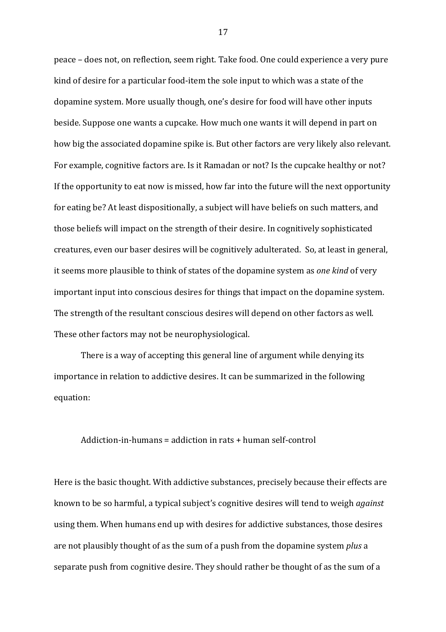peace – does not, on reflection, seem right. Take food. One could experience a very pure kind of desire for a particular food-item the sole input to which was a state of the dopamine system. More usually though, one's desire for food will have other inputs beside. Suppose one wants a cupcake. How much one wants it will depend in part on how big the associated dopamine spike is. But other factors are very likely also relevant. For example, cognitive factors are. Is it Ramadan or not? Is the cupcake healthy or not? If the opportunity to eat now is missed, how far into the future will the next opportunity for eating be? At least dispositionally, a subject will have beliefs on such matters, and those beliefs will impact on the strength of their desire. In cognitively sophisticated creatures, even our baser desires will be cognitively adulterated. So, at least in general, it seems more plausible to think of states of the dopamine system as *one kind* of very important input into conscious desires for things that impact on the dopamine system. The strength of the resultant conscious desires will depend on other factors as well. These other factors may not be neurophysiological.

There is a way of accepting this general line of argument while denying its importance in relation to addictive desires. It can be summarized in the following equation:

### Addiction-in-humans = addiction in rats + human self-control

Here is the basic thought. With addictive substances, precisely because their effects are known to be so harmful, a typical subject's cognitive desires will tend to weigh *against*  using them. When humans end up with desires for addictive substances, those desires are not plausibly thought of as the sum of a push from the dopamine system *plus* a separate push from cognitive desire. They should rather be thought of as the sum of a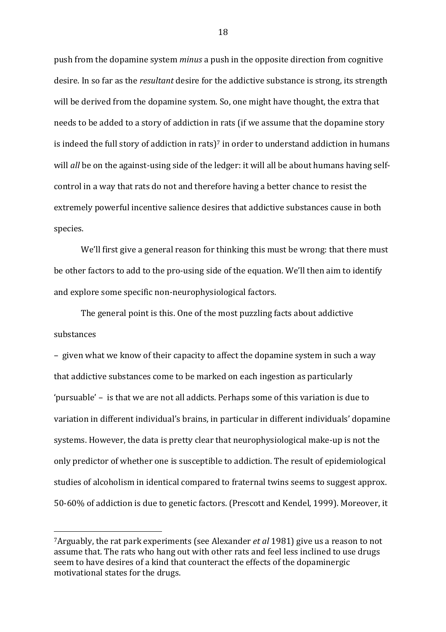push from the dopamine system *minus* a push in the opposite direction from cognitive desire. In so far as the *resultant* desire for the addictive substance is strong, its strength will be derived from the dopamine system. So, one might have thought, the extra that needs to be added to a story of addiction in rats (if we assume that the dopamine story is indeed the full story of addiction in rats)<sup>7</sup> in order to understand addiction in humans will *all* be on the against-using side of the ledger: it will all be about humans having selfcontrol in a way that rats do not and therefore having a better chance to resist the extremely powerful incentive salience desires that addictive substances cause in both species.

We'll first give a general reason for thinking this must be wrong: that there must be other factors to add to the pro-using side of the equation. We'll then aim to identify and explore some specific non-neurophysiological factors.

The general point is this. One of the most puzzling facts about addictive substances

– given what we know of their capacity to affect the dopamine system in such a way that addictive substances come to be marked on each ingestion as particularly 'pursuable' – is that we are not all addicts. Perhaps some of this variation is due to variation in different individual's brains, in particular in different individuals' dopamine systems. However, the data is pretty clear that neurophysiological make-up is not the only predictor of whether one is susceptible to addiction. The result of epidemiological studies of alcoholism in identical compared to fraternal twins seems to suggest approx. 50-60% of addiction is due to genetic factors. (Prescott and Kendel, 1999). Moreover, it

 <sup>7</sup>Arguably, the rat park experiments (see Alexander *et al* 1981) give us a reason to not assume that. The rats who hang out with other rats and feel less inclined to use drugs seem to have desires of a kind that counteract the effects of the dopaminergic motivational states for the drugs.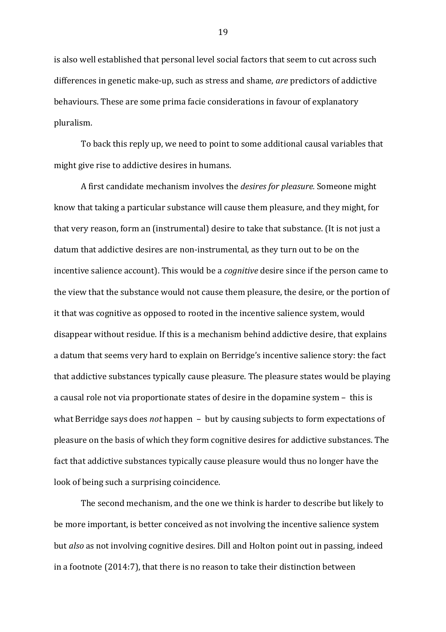is also well established that personal level social factors that seem to cut across such differences in genetic make-up, such as stress and shame, *are* predictors of addictive behaviours. These are some prima facie considerations in favour of explanatory pluralism.

To back this reply up, we need to point to some additional causal variables that might give rise to addictive desires in humans.

A first candidate mechanism involves the *desires for pleasure.* Someone might know that taking a particular substance will cause them pleasure, and they might, for that very reason, form an (instrumental) desire to take that substance. (It is not just a datum that addictive desires are non-instrumental, as they turn out to be on the incentive salience account). This would be a *cognitive* desire since if the person came to the view that the substance would not cause them pleasure, the desire, or the portion of it that was cognitive as opposed to rooted in the incentive salience system, would disappear without residue. If this is a mechanism behind addictive desire, that explains a datum that seems very hard to explain on Berridge's incentive salience story: the fact that addictive substances typically cause pleasure. The pleasure states would be playing a causal role not via proportionate states of desire in the dopamine system – this is what Berridge says does *not* happen – but by causing subjects to form expectations of pleasure on the basis of which they form cognitive desires for addictive substances. The fact that addictive substances typically cause pleasure would thus no longer have the look of being such a surprising coincidence.

The second mechanism, and the one we think is harder to describe but likely to be more important, is better conceived as not involving the incentive salience system but *also* as not involving cognitive desires. Dill and Holton point out in passing, indeed in a footnote (2014:7), that there is no reason to take their distinction between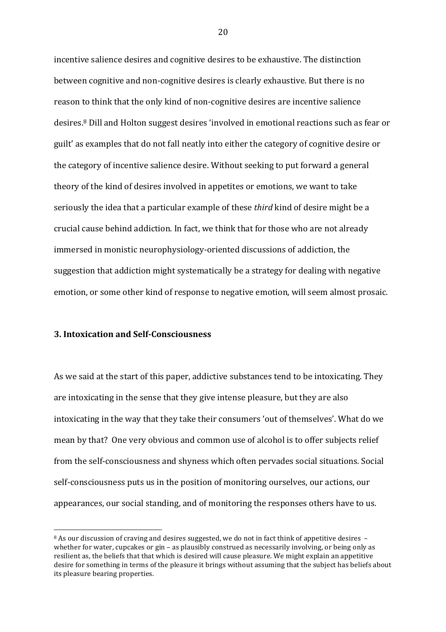incentive salience desires and cognitive desires to be exhaustive. The distinction between cognitive and non-cognitive desires is clearly exhaustive. But there is no reason to think that the only kind of non-cognitive desires are incentive salience desires.8 Dill and Holton suggest desires 'involved in emotional reactions such as fear or guilt' as examples that do not fall neatly into either the category of cognitive desire or the category of incentive salience desire. Without seeking to put forward a general theory of the kind of desires involved in appetites or emotions, we want to take seriously the idea that a particular example of these *third* kind of desire might be a crucial cause behind addiction. In fact, we think that for those who are not already immersed in monistic neurophysiology-oriented discussions of addiction, the suggestion that addiction might systematically be a strategy for dealing with negative emotion, or some other kind of response to negative emotion, will seem almost prosaic.

## **3. Intoxication and Self-Consciousness**

As we said at the start of this paper, addictive substances tend to be intoxicating. They are intoxicating in the sense that they give intense pleasure, but they are also intoxicating in the way that they take their consumers 'out of themselves'. What do we mean by that? One very obvious and common use of alcohol is to offer subjects relief from the self-consciousness and shyness which often pervades social situations. Social self-consciousness puts us in the position of monitoring ourselves, our actions, our appearances, our social standing, and of monitoring the responses others have to us.

 <sup>8</sup> As our discussion of craving and desires suggested, we do not in fact think of appetitive desires – whether for water, cupcakes or gin – as plausibly construed as necessarily involving, or being only as resilient as, the beliefs that that which is desired will cause pleasure. We might explain an appetitive desire for something in terms of the pleasure it brings without assuming that the subject has beliefs about its pleasure bearing properties.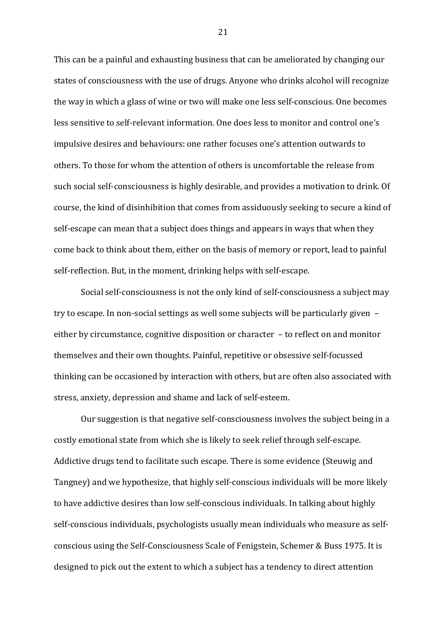This can be a painful and exhausting business that can be ameliorated by changing our states of consciousness with the use of drugs. Anyone who drinks alcohol will recognize the way in which a glass of wine or two will make one less self-conscious. One becomes less sensitive to self-relevant information. One does less to monitor and control one's impulsive desires and behaviours: one rather focuses one's attention outwards to others. To those for whom the attention of others is uncomfortable the release from such social self-consciousness is highly desirable, and provides a motivation to drink. Of course, the kind of disinhibition that comes from assiduously seeking to secure a kind of self-escape can mean that a subject does things and appears in ways that when they come back to think about them, either on the basis of memory or report, lead to painful self-reflection. But, in the moment, drinking helps with self-escape.

Social self-consciousness is not the only kind of self-consciousness a subject may try to escape. In non-social settings as well some subjects will be particularly given – either by circumstance, cognitive disposition or character – to reflect on and monitor themselves and their own thoughts. Painful, repetitive or obsessive self-focussed thinking can be occasioned by interaction with others, but are often also associated with stress, anxiety, depression and shame and lack of self-esteem.

Our suggestion is that negative self-consciousness involves the subject being in a costly emotional state from which she is likely to seek relief through self-escape. Addictive drugs tend to facilitate such escape. There is some evidence (Steuwig and Tangney) and we hypothesize, that highly self-conscious individuals will be more likely to have addictive desires than low self-conscious individuals. In talking about highly self-conscious individuals, psychologists usually mean individuals who measure as selfconscious using the Self-Consciousness Scale of Fenigstein, Schemer & Buss 1975. It is designed to pick out the extent to which a subject has a tendency to direct attention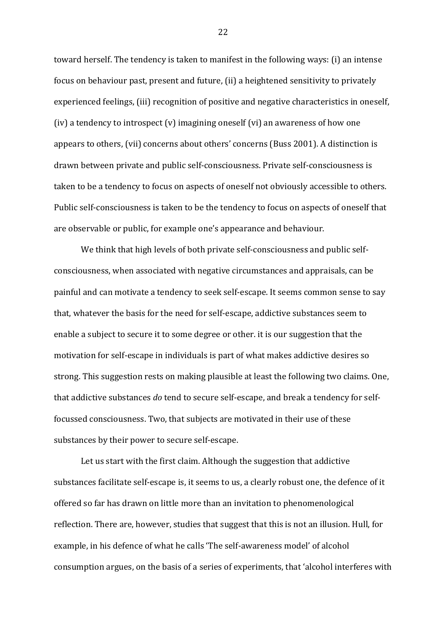toward herself. The tendency is taken to manifest in the following ways: (i) an intense focus on behaviour past, present and future, (ii) a heightened sensitivity to privately experienced feelings, (iii) recognition of positive and negative characteristics in oneself, (iv) a tendency to introspect (v) imagining oneself (vi) an awareness of how one appears to others, (vii) concerns about others' concerns (Buss 2001). A distinction is drawn between private and public self-consciousness. Private self-consciousness is taken to be a tendency to focus on aspects of oneself not obviously accessible to others. Public self-consciousness is taken to be the tendency to focus on aspects of oneself that are observable or public, for example one's appearance and behaviour.

We think that high levels of both private self-consciousness and public selfconsciousness, when associated with negative circumstances and appraisals, can be painful and can motivate a tendency to seek self-escape. It seems common sense to say that, whatever the basis for the need for self-escape, addictive substances seem to enable a subject to secure it to some degree or other. it is our suggestion that the motivation for self-escape in individuals is part of what makes addictive desires so strong. This suggestion rests on making plausible at least the following two claims. One, that addictive substances *do* tend to secure self-escape, and break a tendency for selffocussed consciousness. Two, that subjects are motivated in their use of these substances by their power to secure self-escape.

Let us start with the first claim. Although the suggestion that addictive substances facilitate self-escape is, it seems to us, a clearly robust one, the defence of it offered so far has drawn on little more than an invitation to phenomenological reflection. There are, however, studies that suggest that this is not an illusion. Hull, for example, in his defence of what he calls 'The self-awareness model' of alcohol consumption argues, on the basis of a series of experiments, that 'alcohol interferes with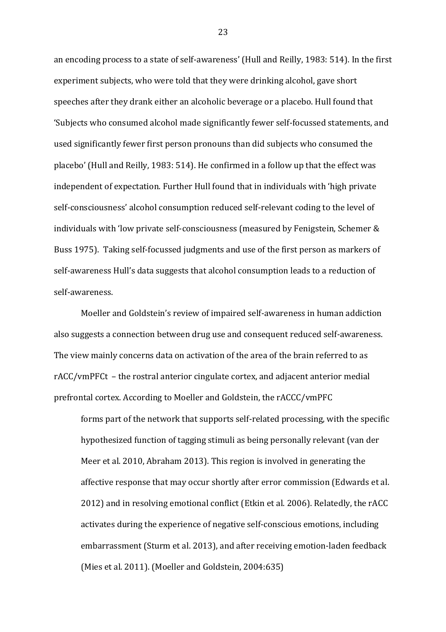an encoding process to a state of self-awareness' (Hull and Reilly, 1983: 514). In the first experiment subjects, who were told that they were drinking alcohol, gave short speeches after they drank either an alcoholic beverage or a placebo. Hull found that 'Subjects who consumed alcohol made significantly fewer self-focussed statements, and used significantly fewer first person pronouns than did subjects who consumed the placebo' (Hull and Reilly, 1983: 514). He confirmed in a follow up that the effect was independent of expectation. Further Hull found that in individuals with 'high private self-consciousness' alcohol consumption reduced self-relevant coding to the level of individuals with 'low private self-consciousness (measured by Fenigstein, Schemer & Buss 1975). Taking self-focussed judgments and use of the first person as markers of self-awareness Hull's data suggests that alcohol consumption leads to a reduction of self-awareness.

Moeller and Goldstein's review of impaired self-awareness in human addiction also suggests a connection between drug use and consequent reduced self-awareness. The view mainly concerns data on activation of the area of the brain referred to as rACC/vmPFCt – the rostral anterior cingulate cortex, and adjacent anterior medial prefrontal cortex. According to Moeller and Goldstein, the rACCC/vmPFC

forms part of the network that supports self-related processing, with the specific hypothesized function of tagging stimuli as being personally relevant (van der Meer et al. 2010, Abraham 2013). This region is involved in generating the affective response that may occur shortly after error commission (Edwards et al. 2012) and in resolving emotional conflict (Etkin et al. 2006). Relatedly, the rACC activates during the experience of negative self-conscious emotions, including embarrassment (Sturm et al. 2013), and after receiving emotion-laden feedback (Mies et al. 2011). (Moeller and Goldstein, 2004:635)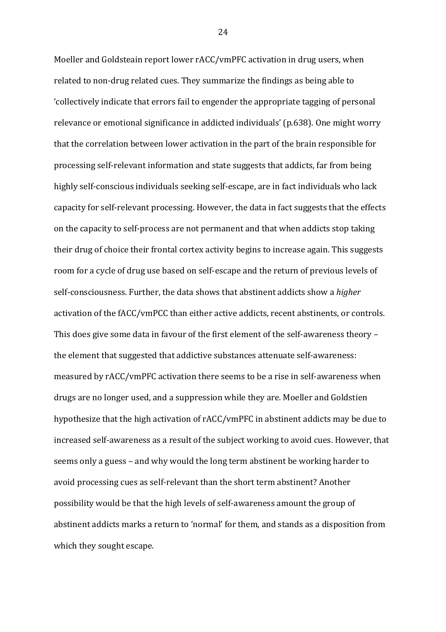Moeller and Goldsteain report lower rACC/vmPFC activation in drug users, when related to non-drug related cues. They summarize the findings as being able to 'collectively indicate that errors fail to engender the appropriate tagging of personal relevance or emotional significance in addicted individuals' (p.638). One might worry that the correlation between lower activation in the part of the brain responsible for processing self-relevant information and state suggests that addicts, far from being highly self-conscious individuals seeking self-escape, are in fact individuals who lack capacity for self-relevant processing. However, the data in fact suggests that the effects on the capacity to self-process are not permanent and that when addicts stop taking their drug of choice their frontal cortex activity begins to increase again. This suggests room for a cycle of drug use based on self-escape and the return of previous levels of self-consciousness. Further, the data shows that abstinent addicts show a *higher* activation of the fACC/vmPCC than either active addicts, recent abstinents, or controls. This does give some data in favour of the first element of the self-awareness theory – the element that suggested that addictive substances attenuate self-awareness: measured by rACC/vmPFC activation there seems to be a rise in self-awareness when drugs are no longer used, and a suppression while they are. Moeller and Goldstien hypothesize that the high activation of rACC/vmPFC in abstinent addicts may be due to increased self-awareness as a result of the subject working to avoid cues. However, that seems only a guess – and why would the long term abstinent be working harder to avoid processing cues as self-relevant than the short term abstinent? Another possibility would be that the high levels of self-awareness amount the group of abstinent addicts marks a return to 'normal' for them, and stands as a disposition from which they sought escape.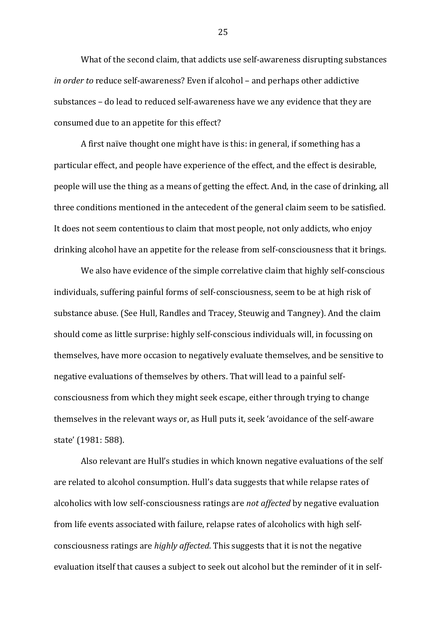What of the second claim, that addicts use self-awareness disrupting substances *in order to* reduce self-awareness? Even if alcohol – and perhaps other addictive substances – do lead to reduced self-awareness have we any evidence that they are consumed due to an appetite for this effect?

A first naïve thought one might have is this: in general, if something has a particular effect, and people have experience of the effect, and the effect is desirable, people will use the thing as a means of getting the effect. And, in the case of drinking, all three conditions mentioned in the antecedent of the general claim seem to be satisfied. It does not seem contentious to claim that most people, not only addicts, who enjoy drinking alcohol have an appetite for the release from self-consciousness that it brings.

We also have evidence of the simple correlative claim that highly self-conscious individuals, suffering painful forms of self-consciousness, seem to be at high risk of substance abuse. (See Hull, Randles and Tracey, Steuwig and Tangney). And the claim should come as little surprise: highly self-conscious individuals will, in focussing on themselves, have more occasion to negatively evaluate themselves, and be sensitive to negative evaluations of themselves by others. That will lead to a painful selfconsciousness from which they might seek escape, either through trying to change themselves in the relevant ways or, as Hull puts it, seek 'avoidance of the self-aware state' (1981: 588).

Also relevant are Hull's studies in which known negative evaluations of the self are related to alcohol consumption. Hull's data suggests that while relapse rates of alcoholics with low self-consciousness ratings are *not affected* by negative evaluation from life events associated with failure, relapse rates of alcoholics with high selfconsciousness ratings are *highly affected*. This suggests that it is not the negative evaluation itself that causes a subject to seek out alcohol but the reminder of it in self-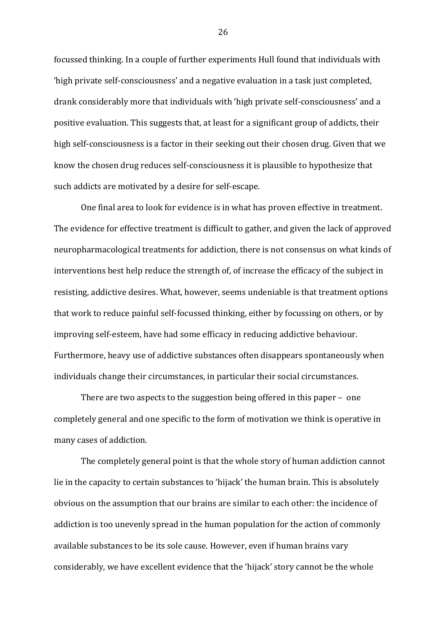focussed thinking. In a couple of further experiments Hull found that individuals with 'high private self-consciousness' and a negative evaluation in a task just completed, drank considerably more that individuals with 'high private self-consciousness' and a positive evaluation. This suggests that, at least for a significant group of addicts, their high self-consciousness is a factor in their seeking out their chosen drug. Given that we know the chosen drug reduces self-consciousness it is plausible to hypothesize that such addicts are motivated by a desire for self-escape.

One final area to look for evidence is in what has proven effective in treatment. The evidence for effective treatment is difficult to gather, and given the lack of approved neuropharmacological treatments for addiction, there is not consensus on what kinds of interventions best help reduce the strength of, of increase the efficacy of the subject in resisting, addictive desires. What, however, seems undeniable is that treatment options that work to reduce painful self-focussed thinking, either by focussing on others, or by improving self-esteem, have had some efficacy in reducing addictive behaviour. Furthermore, heavy use of addictive substances often disappears spontaneously when individuals change their circumstances, in particular their social circumstances.

There are two aspects to the suggestion being offered in this paper – one completely general and one specific to the form of motivation we think is operative in many cases of addiction.

The completely general point is that the whole story of human addiction cannot lie in the capacity to certain substances to 'hijack' the human brain. This is absolutely obvious on the assumption that our brains are similar to each other: the incidence of addiction is too unevenly spread in the human population for the action of commonly available substances to be its sole cause. However, even if human brains vary considerably, we have excellent evidence that the 'hijack' story cannot be the whole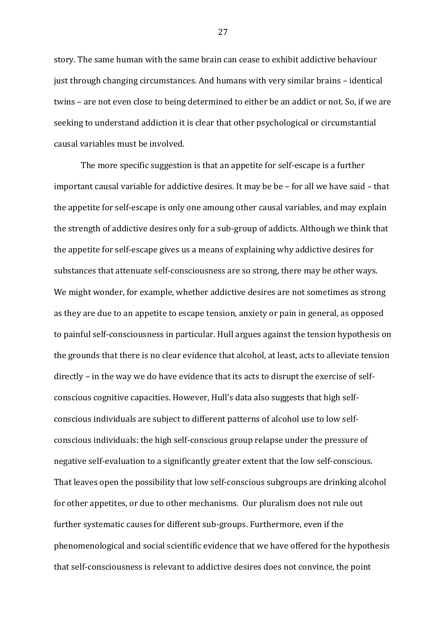story. The same human with the same brain can cease to exhibit addictive behaviour just through changing circumstances. And humans with very similar brains – identical twins – are not even close to being determined to either be an addict or not. So, if we are seeking to understand addiction it is clear that other psychological or circumstantial causal variables must be involved.

The more specific suggestion is that an appetite for self-escape is a further important causal variable for addictive desires. It may be be – for all we have said – that the appetite for self-escape is only one amoung other causal variables, and may explain the strength of addictive desires only for a sub-group of addicts. Although we think that the appetite for self-escape gives us a means of explaining why addictive desires for substances that attenuate self-consciousness are so strong, there may be other ways. We might wonder, for example, whether addictive desires are not sometimes as strong as they are due to an appetite to escape tension, anxiety or pain in general, as opposed to painful self-consciousness in particular. Hull argues against the tension hypothesis on the grounds that there is no clear evidence that alcohol, at least, acts to alleviate tension directly – in the way we do have evidence that its acts to disrupt the exercise of selfconscious cognitive capacities. However, Hull's data also suggests that high selfconscious individuals are subject to different patterns of alcohol use to low selfconscious individuals: the high self-conscious group relapse under the pressure of negative self-evaluation to a significantly greater extent that the low self-conscious. That leaves open the possibility that low self-conscious subgroups are drinking alcohol for other appetites, or due to other mechanisms. Our pluralism does not rule out further systematic causes for different sub-groups. Furthermore, even if the phenomenological and social scientific evidence that we have offered for the hypothesis that self-consciousness is relevant to addictive desires does not convince, the point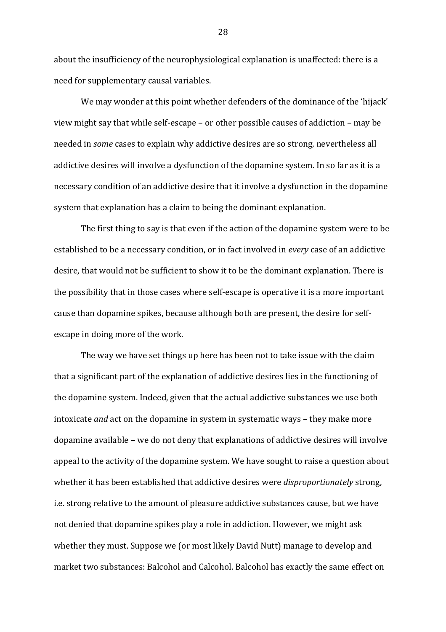about the insufficiency of the neurophysiological explanation is unaffected: there is a need for supplementary causal variables.

We may wonder at this point whether defenders of the dominance of the 'hijack' view might say that while self-escape – or other possible causes of addiction – may be needed in *some* cases to explain why addictive desires are so strong, nevertheless all addictive desires will involve a dysfunction of the dopamine system. In so far as it is a necessary condition of an addictive desire that it involve a dysfunction in the dopamine system that explanation has a claim to being the dominant explanation.

The first thing to say is that even if the action of the dopamine system were to be established to be a necessary condition, or in fact involved in *every* case of an addictive desire, that would not be sufficient to show it to be the dominant explanation. There is the possibility that in those cases where self-escape is operative it is a more important cause than dopamine spikes, because although both are present, the desire for selfescape in doing more of the work.

The way we have set things up here has been not to take issue with the claim that a significant part of the explanation of addictive desires lies in the functioning of the dopamine system. Indeed, given that the actual addictive substances we use both intoxicate *and* act on the dopamine in system in systematic ways – they make more dopamine available – we do not deny that explanations of addictive desires will involve appeal to the activity of the dopamine system. We have sought to raise a question about whether it has been established that addictive desires were *disproportionately* strong, i.e. strong relative to the amount of pleasure addictive substances cause, but we have not denied that dopamine spikes play a role in addiction. However, we might ask whether they must. Suppose we (or most likely David Nutt) manage to develop and market two substances: Balcohol and Calcohol. Balcohol has exactly the same effect on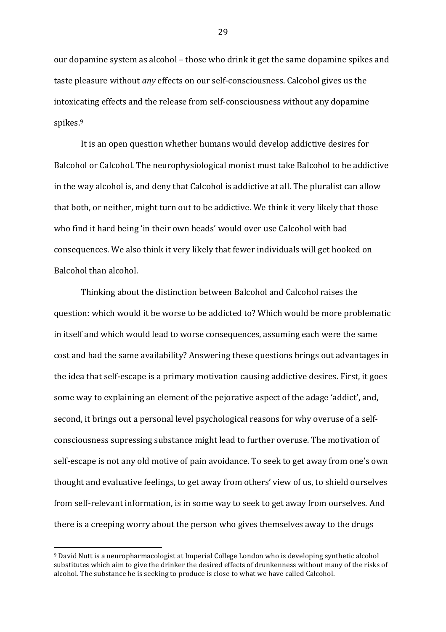our dopamine system as alcohol – those who drink it get the same dopamine spikes and taste pleasure without *any* effects on our self-consciousness. Calcohol gives us the intoxicating effects and the release from self-consciousness without any dopamine spikes.9

It is an open question whether humans would develop addictive desires for Balcohol or Calcohol. The neurophysiological monist must take Balcohol to be addictive in the way alcohol is, and deny that Calcohol is addictive at all. The pluralist can allow that both, or neither, might turn out to be addictive. We think it very likely that those who find it hard being 'in their own heads' would over use Calcohol with bad consequences. We also think it very likely that fewer individuals will get hooked on Balcohol than alcohol.

Thinking about the distinction between Balcohol and Calcohol raises the question: which would it be worse to be addicted to? Which would be more problematic in itself and which would lead to worse consequences, assuming each were the same cost and had the same availability? Answering these questions brings out advantages in the idea that self-escape is a primary motivation causing addictive desires. First, it goes some way to explaining an element of the pejorative aspect of the adage 'addict', and, second, it brings out a personal level psychological reasons for why overuse of a selfconsciousness supressing substance might lead to further overuse. The motivation of self-escape is not any old motive of pain avoidance. To seek to get away from one's own thought and evaluative feelings, to get away from others' view of us, to shield ourselves from self-relevant information, is in some way to seek to get away from ourselves. And there is a creeping worry about the person who gives themselves away to the drugs

 <sup>9</sup> David Nutt is a neuropharmacologist at Imperial College London who is developing synthetic alcohol substitutes which aim to give the drinker the desired effects of drunkenness without many of the risks of alcohol. The substance he is seeking to produce is close to what we have called Calcohol.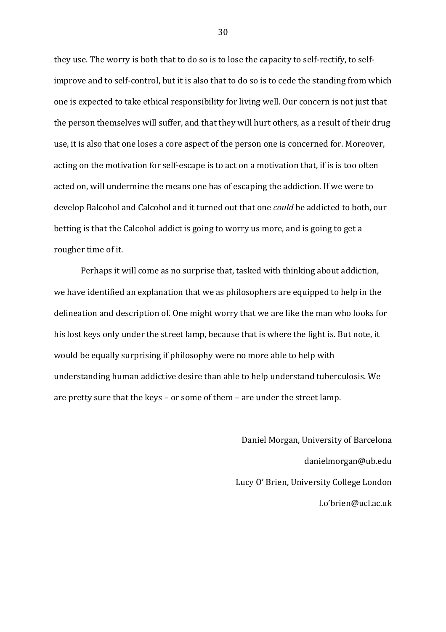they use. The worry is both that to do so is to lose the capacity to self-rectify, to selfimprove and to self-control, but it is also that to do so is to cede the standing from which one is expected to take ethical responsibility for living well. Our concern is not just that the person themselves will suffer, and that they will hurt others, as a result of their drug use, it is also that one loses a core aspect of the person one is concerned for. Moreover, acting on the motivation for self-escape is to act on a motivation that, if is is too often acted on, will undermine the means one has of escaping the addiction. If we were to develop Balcohol and Calcohol and it turned out that one *could* be addicted to both, our betting is that the Calcohol addict is going to worry us more, and is going to get a rougher time of it.

Perhaps it will come as no surprise that, tasked with thinking about addiction, we have identified an explanation that we as philosophers are equipped to help in the delineation and description of. One might worry that we are like the man who looks for his lost keys only under the street lamp, because that is where the light is. But note, it would be equally surprising if philosophy were no more able to help with understanding human addictive desire than able to help understand tuberculosis. We are pretty sure that the keys – or some of them – are under the street lamp.

> Daniel Morgan, University of Barcelona danielmorgan@ub.edu Lucy O' Brien, University College London l.o'brien@ucl.ac.uk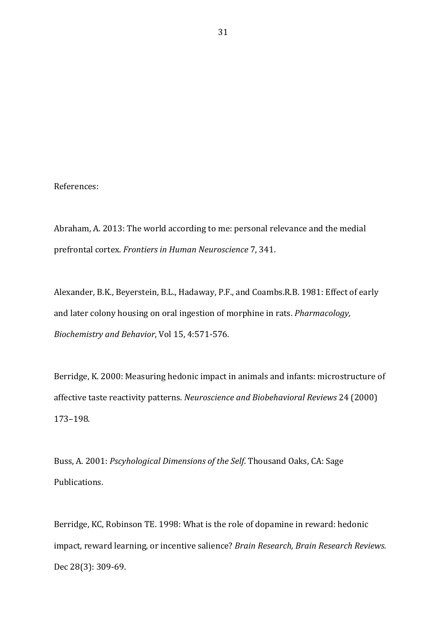References:

Abraham, A. 2013: The world according to me: personal relevance and the medial prefrontal cortex. *Frontiers in Human Neuroscience* 7, 341.

Alexander, B.K., Beyerstein, B.L., Hadaway, P.F., and Coambs.R.B. 1981: Effect of early and later colony housing on oral ingestion of morphine in rats. *Pharmacology, Biochemistry and Behavior*, Vol 15, 4:571-576.

Berridge, K. 2000: Measuring hedonic impact in animals and infants: microstructure of affective taste reactivity patterns. *Neuroscience and Biobehavioral Reviews* 24 (2000) 173–198.

Buss, A. 2001: *Pscyhological Dimensions of the Self*. Thousand Oaks, CA: Sage Publications.

Berridge, KC, Robinson TE. 1998: What is the role of dopamine in reward: hedonic impact, reward learning, or incentive salience? *Brain Research, Brain Research Reviews*. Dec 28(3): 309-69.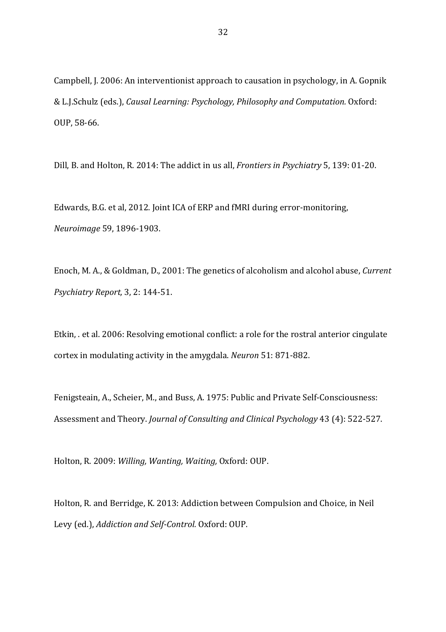Campbell, J. 2006: An interventionist approach to causation in psychology, in A. Gopnik & L.J.Schulz (eds.), *Causal Learning: Psychology, Philosophy and Computation.* Oxford: OUP, 58-66.

Dill, B. and Holton, R. 2014: The addict in us all, *Frontiers in Psychiatry* 5, 139: 01-20.

Edwards, B.G. et al, 2012. Joint ICA of ERP and fMRI during error-monitoring, *Neuroimage* 59, 1896-1903.

Enoch, M. A., & Goldman, D., 2001: The genetics of alcoholism and alcohol abuse, *Current Psychiatry Report,* 3, 2: 144-51.

Etkin, . et al. 2006: Resolving emotional conflict: a role for the rostral anterior cingulate cortex in modulating activity in the amygdala. *Neuron* 51: 871-882.

Fenigsteain, A., Scheier, M., and Buss, A. 1975: Public and Private Self-Consciousness: Assessment and Theory. *Journal of Consulting and Clinical Psychology* 43 (4): 522-527.

Holton, R. 2009: *Willing, Wanting, Waiting,* Oxford: OUP.

Holton, R. and Berridge, K. 2013: Addiction between Compulsion and Choice, in Neil Levy (ed.), *Addiction and Self-Control.* Oxford: OUP.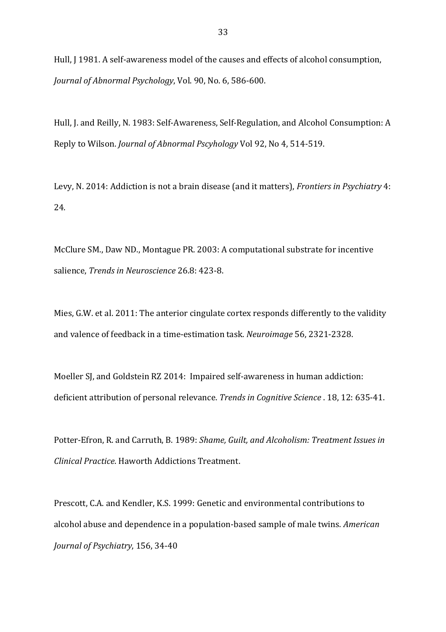Hull, J 1981. A self-awareness model of the causes and effects of alcohol consumption, *Journal of Abnormal Psychology*, Vol. 90, No. 6, 586-600.

Hull, J. and Reilly, N. 1983: Self-Awareness, Self-Regulation, and Alcohol Consumption: A Reply to Wilson. *Journal of Abnormal Pscyhology* Vol 92, No 4, 514-519.

Levy, N. 2014: Addiction is not a brain disease (and it matters), *Frontiers in Psychiatry* 4: 24.

McClure SM., Daw ND., Montague PR. 2003: A computational substrate for incentive salience, *Trends in Neuroscience* 26.8: 423-8.

Mies, G.W. et al. 2011: The anterior cingulate cortex responds differently to the validity and valence of feedback in a time-estimation task. *Neuroimage* 56, 2321-2328.

Moeller SJ, and Goldstein RZ 2014: Impaired self-awareness in human addiction: deficient attribution of personal relevance. *Trends in Cognitive Science* . 18, 12: 635-41.

Potter-Efron, R. and Carruth, B. 1989: *Shame, Guilt, and Alcoholism: Treatment Issues in Clinical Practice*. Haworth Addictions Treatment.

Prescott, C.A. and Kendler, K.S. 1999: Genetic and environmental contributions to alcohol abuse and dependence in a population-based sample of male twins. *American Journal of Psychiatry*, 156, 34-40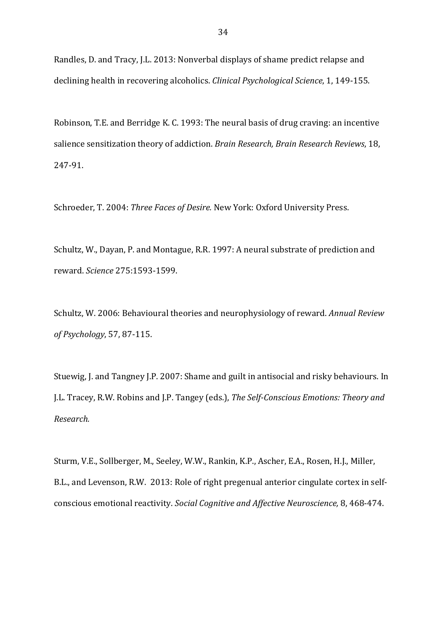Randles, D. and Tracy, J.L. 2013: Nonverbal displays of shame predict relapse and declining health in recovering alcoholics. *Clinical Psychological Science*, 1, 149-155.

Robinson, T.E. and Berridge K. C. 1993: The neural basis of drug craving: an incentive salience sensitization theory of addiction. *Brain Research, Brain Research Reviews*, 18, 247-91.

Schroeder, T. 2004: *Three Faces of Desire.* New York: Oxford University Press.

Schultz, W., Dayan, P. and Montague, R.R. 1997: A neural substrate of prediction and reward. *Science* 275:1593-1599.

Schultz, W. 2006: Behavioural theories and neurophysiology of reward. *Annual Review of Psychology*, 57, 87-115.

Stuewig, J. and Tangney J.P. 2007: Shame and guilt in antisocial and risky behaviours. In J.L. Tracey, R.W. Robins and J.P. Tangey (eds.), *The Self-Conscious Emotions: Theory and Research.*

Sturm, V.E., Sollberger, M., Seeley, W.W., Rankin, K.P., Ascher, E.A., Rosen, H.J., Miller, B.L., and Levenson, R.W. 2013: Role of right pregenual anterior cingulate cortex in selfconscious emotional reactivity. *Social Cognitive and Affective Neuroscience,* 8, 468-474.